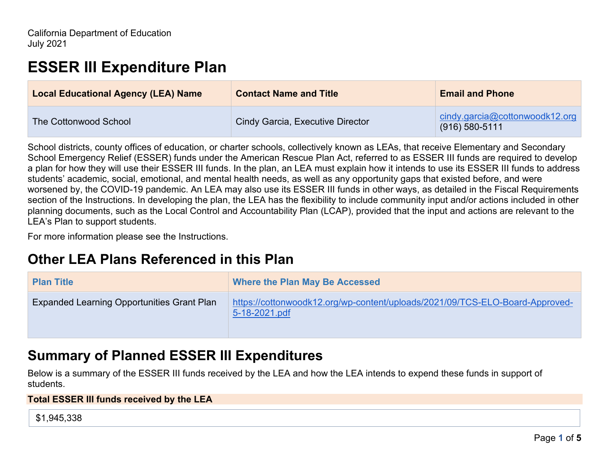# **ESSER III Expenditure Plan**

| <b>Local Educational Agency (LEA) Name</b> | <b>Contact Name and Title</b>    | <b>Email and Phone</b>                             |
|--------------------------------------------|----------------------------------|----------------------------------------------------|
| The Cottonwood School                      | Cindy Garcia, Executive Director | cindy.garcia@cottonwoodk12.org<br>$(916)$ 580-5111 |

School districts, county offices of education, or charter schools, collectively known as LEAs, that receive Elementary and Secondary School Emergency Relief (ESSER) funds under the American Rescue Plan Act, referred to as ESSER III funds are required to develop a plan for how they will use their ESSER III funds. In the plan, an LEA must explain how it intends to use its ESSER III funds to address students' academic, social, emotional, and mental health needs, as well as any opportunity gaps that existed before, and were worsened by, the COVID-19 pandemic. An LEA may also use its ESSER III funds in other ways, as detailed in the Fiscal Requirements section of the Instructions. In developing the plan, the LEA has the flexibility to include community input and/or actions included in other planning documents, such as the Local Control and Accountability Plan (LCAP), provided that the input and actions are relevant to the LEA's Plan to support students.

For more information please see the Instructions.

## **Other LEA Plans Referenced in this Plan**

| <b>Plan Title</b>                                 | <b>Where the Plan May Be Accessed</b>                                                         |
|---------------------------------------------------|-----------------------------------------------------------------------------------------------|
| <b>Expanded Learning Opportunities Grant Plan</b> | https://cottonwoodk12.org/wp-content/uploads/2021/09/TCS-ELO-Board-Approved-<br>5-18-2021.pdf |

## **Summary of Planned ESSER III Expenditures**

Below is a summary of the ESSER III funds received by the LEA and how the LEA intends to expend these funds in support of students.

#### **Total ESSER III funds received by the LEA**

\$1,945,338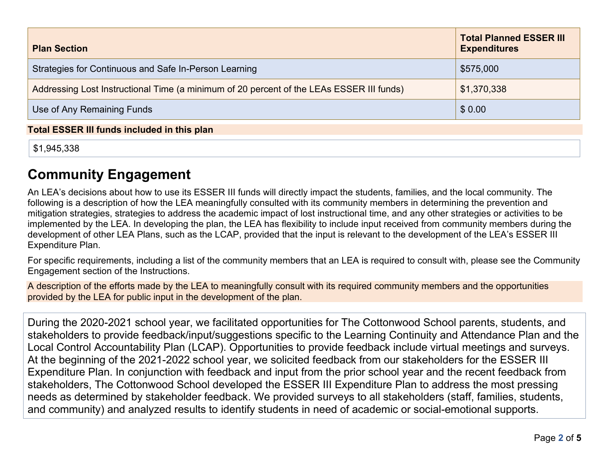| <b>Plan Section</b>                                                                      | <b>Total Planned ESSER III</b><br><b>Expenditures</b> |  |
|------------------------------------------------------------------------------------------|-------------------------------------------------------|--|
| Strategies for Continuous and Safe In-Person Learning                                    | \$575,000                                             |  |
| Addressing Lost Instructional Time (a minimum of 20 percent of the LEAs ESSER III funds) | \$1,370,338                                           |  |
| Use of Any Remaining Funds                                                               | \$0.00                                                |  |
| <b>Total ESSER III funds included in this plan</b>                                       |                                                       |  |

\$1,945,338

# **Community Engagement**

An LEA's decisions about how to use its ESSER III funds will directly impact the students, families, and the local community. The following is a description of how the LEA meaningfully consulted with its community members in determining the prevention and mitigation strategies, strategies to address the academic impact of lost instructional time, and any other strategies or activities to be implemented by the LEA. In developing the plan, the LEA has flexibility to include input received from community members during the development of other LEA Plans, such as the LCAP, provided that the input is relevant to the development of the LEA's ESSER III Expenditure Plan.

For specific requirements, including a list of the community members that an LEA is required to consult with, please see the Community Engagement section of the Instructions.

A description of the efforts made by the LEA to meaningfully consult with its required community members and the opportunities provided by the LEA for public input in the development of the plan.

During the 2020-2021 school year, we facilitated opportunities for The Cottonwood School parents, students, and stakeholders to provide feedback/input/suggestions specific to the Learning Continuity and Attendance Plan and the Local Control Accountability Plan (LCAP). Opportunities to provide feedback include virtual meetings and surveys. At the beginning of the 2021-2022 school year, we solicited feedback from our stakeholders for the ESSER III Expenditure Plan. In conjunction with feedback and input from the prior school year and the recent feedback from stakeholders, The Cottonwood School developed the ESSER III Expenditure Plan to address the most pressing needs as determined by stakeholder feedback. We provided surveys to all stakeholders (staff, families, students, and community) and analyzed results to identify students in need of academic or social-emotional supports.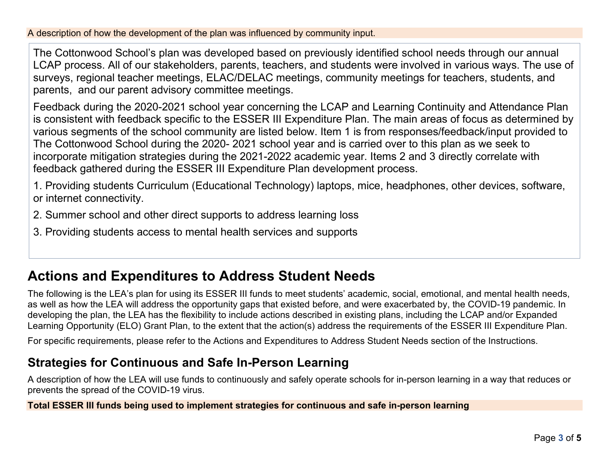A description of how the development of the plan was influenced by community input.

The Cottonwood School's plan was developed based on previously identified school needs through our annual LCAP process. All of our stakeholders, parents, teachers, and students were involved in various ways. The use of surveys, regional teacher meetings, ELAC/DELAC meetings, community meetings for teachers, students, and parents, and our parent advisory committee meetings.

Feedback during the 2020-2021 school year concerning the LCAP and Learning Continuity and Attendance Plan is consistent with feedback specific to the ESSER III Expenditure Plan. The main areas of focus as determined by various segments of the school community are listed below. Item 1 is from responses/feedback/input provided to The Cottonwood School during the 2020- 2021 school year and is carried over to this plan as we seek to incorporate mitigation strategies during the 2021-2022 academic year. Items 2 and 3 directly correlate with feedback gathered during the ESSER III Expenditure Plan development process.

1. Providing students Curriculum (Educational Technology) laptops, mice, headphones, other devices, software, or internet connectivity.

2. Summer school and other direct supports to address learning loss

3. Providing students access to mental health services and supports

## **Actions and Expenditures to Address Student Needs**

The following is the LEA's plan for using its ESSER III funds to meet students' academic, social, emotional, and mental health needs, as well as how the LEA will address the opportunity gaps that existed before, and were exacerbated by, the COVID-19 pandemic. In developing the plan, the LEA has the flexibility to include actions described in existing plans, including the LCAP and/or Expanded Learning Opportunity (ELO) Grant Plan, to the extent that the action(s) address the requirements of the ESSER III Expenditure Plan.

For specific requirements, please refer to the Actions and Expenditures to Address Student Needs section of the Instructions.

### **Strategies for Continuous and Safe In-Person Learning**

A description of how the LEA will use funds to continuously and safely operate schools for in-person learning in a way that reduces or prevents the spread of the COVID-19 virus.

**Total ESSER III funds being used to implement strategies for continuous and safe in-person learning**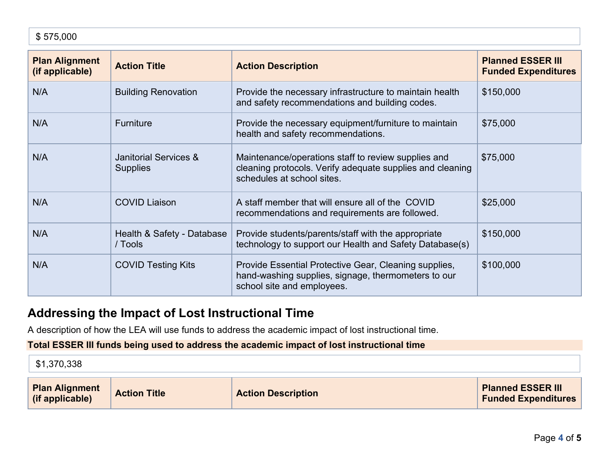| <b>Plan Alignment</b><br>(if applicable) | <b>Action Title</b>                      | <b>Action Description</b>                                                                                                                      | <b>Planned ESSER III</b><br><b>Funded Expenditures</b> |
|------------------------------------------|------------------------------------------|------------------------------------------------------------------------------------------------------------------------------------------------|--------------------------------------------------------|
| N/A                                      | <b>Building Renovation</b>               | Provide the necessary infrastructure to maintain health<br>and safety recommendations and building codes.                                      | \$150,000                                              |
| N/A                                      | <b>Furniture</b>                         | Provide the necessary equipment/furniture to maintain<br>health and safety recommendations.                                                    | \$75,000                                               |
| N/A                                      | Janitorial Services &<br><b>Supplies</b> | Maintenance/operations staff to review supplies and<br>cleaning protocols. Verify adequate supplies and cleaning<br>schedules at school sites. | \$75,000                                               |
| N/A                                      | <b>COVID Liaison</b>                     | A staff member that will ensure all of the COVID<br>recommendations and requirements are followed.                                             | \$25,000                                               |
| N/A                                      | Health & Safety - Database<br>/ Tools    | Provide students/parents/staff with the appropriate<br>technology to support our Health and Safety Database(s)                                 | \$150,000                                              |
| N/A                                      | <b>COVID Testing Kits</b>                | Provide Essential Protective Gear, Cleaning supplies,<br>hand-washing supplies, signage, thermometers to our<br>school site and employees.     | \$100,000                                              |

### **Addressing the Impact of Lost Instructional Time**

A description of how the LEA will use funds to address the academic impact of lost instructional time.

### **Total ESSER III funds being used to address the academic impact of lost instructional time**

\$1,370,338

| <b>Plan Alignment</b><br>(if applicable) | <b>Action Title</b> | <b>Action Description</b> | <b>Planned ESSER III</b><br><b>Funded Expenditures</b> |
|------------------------------------------|---------------------|---------------------------|--------------------------------------------------------|
|------------------------------------------|---------------------|---------------------------|--------------------------------------------------------|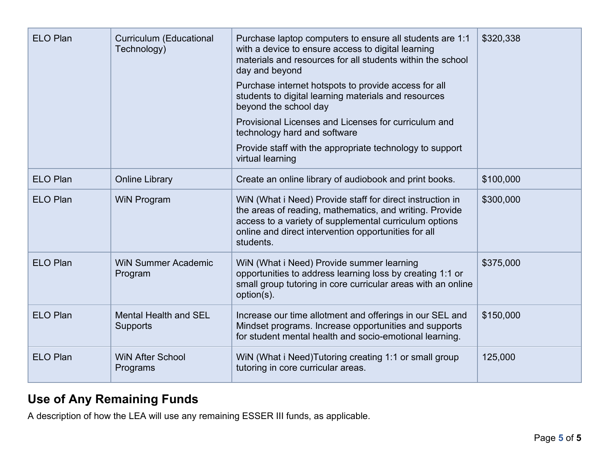| <b>ELO Plan</b> | <b>Curriculum (Educational</b><br>Technology)   | Purchase laptop computers to ensure all students are 1:1<br>with a device to ensure access to digital learning<br>materials and resources for all students within the school<br>day and beyond<br>Purchase internet hotspots to provide access for all<br>students to digital learning materials and resources<br>beyond the school day<br>Provisional Licenses and Licenses for curriculum and<br>technology hard and software<br>Provide staff with the appropriate technology to support<br>virtual learning | \$320,338 |
|-----------------|-------------------------------------------------|-----------------------------------------------------------------------------------------------------------------------------------------------------------------------------------------------------------------------------------------------------------------------------------------------------------------------------------------------------------------------------------------------------------------------------------------------------------------------------------------------------------------|-----------|
| <b>ELO Plan</b> | <b>Online Library</b>                           | Create an online library of audiobook and print books.                                                                                                                                                                                                                                                                                                                                                                                                                                                          | \$100,000 |
| <b>ELO Plan</b> | <b>WiN Program</b>                              | WiN (What i Need) Provide staff for direct instruction in<br>the areas of reading, mathematics, and writing. Provide<br>access to a variety of supplemental curriculum options<br>online and direct intervention opportunities for all<br>students.                                                                                                                                                                                                                                                             | \$300,000 |
| <b>ELO Plan</b> | <b>WiN Summer Academic</b><br>Program           | WiN (What i Need) Provide summer learning<br>opportunities to address learning loss by creating 1:1 or<br>small group tutoring in core curricular areas with an online<br>option(s).                                                                                                                                                                                                                                                                                                                            | \$375,000 |
| <b>ELO Plan</b> | <b>Mental Health and SEL</b><br><b>Supports</b> | Increase our time allotment and offerings in our SEL and<br>Mindset programs. Increase opportunities and supports<br>for student mental health and socio-emotional learning.                                                                                                                                                                                                                                                                                                                                    | \$150,000 |
| <b>ELO Plan</b> | <b>WiN After School</b><br>Programs             | WiN (What i Need) Tutoring creating 1:1 or small group<br>tutoring in core curricular areas.                                                                                                                                                                                                                                                                                                                                                                                                                    | 125,000   |

## **Use of Any Remaining Funds**

A description of how the LEA will use any remaining ESSER III funds, as applicable.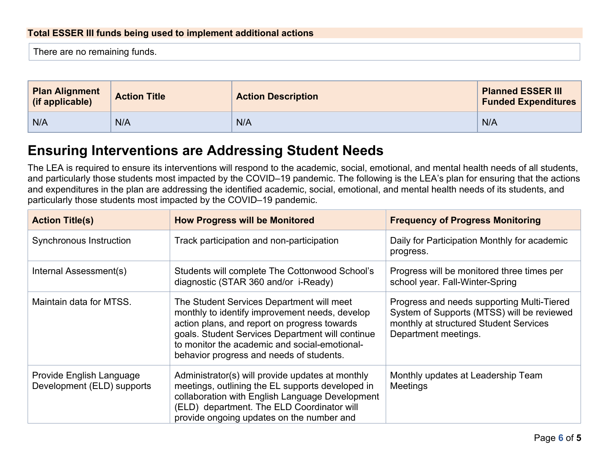#### **Total ESSER III funds being used to implement additional actions**

There are no remaining funds.

| <b>Plan Alignment</b><br>(if applicable) | <b>Action Title</b> | <b>Action Description</b> | <b>Planned ESSER III</b><br><b>Funded Expenditures</b> |
|------------------------------------------|---------------------|---------------------------|--------------------------------------------------------|
| N/A                                      | N/A                 | N/A                       | N/A                                                    |

### **Ensuring Interventions are Addressing Student Needs**

The LEA is required to ensure its interventions will respond to the academic, social, emotional, and mental health needs of all students, and particularly those students most impacted by the COVID–19 pandemic. The following is the LEA's plan for ensuring that the actions and expenditures in the plan are addressing the identified academic, social, emotional, and mental health needs of its students, and particularly those students most impacted by the COVID–19 pandemic.

| <b>Action Title(s)</b>                                 | <b>How Progress will be Monitored</b>                                                                                                                                                                                                                                                        | <b>Frequency of Progress Monitoring</b>                                                                                                                    |
|--------------------------------------------------------|----------------------------------------------------------------------------------------------------------------------------------------------------------------------------------------------------------------------------------------------------------------------------------------------|------------------------------------------------------------------------------------------------------------------------------------------------------------|
| <b>Synchronous Instruction</b>                         | Track participation and non-participation                                                                                                                                                                                                                                                    | Daily for Participation Monthly for academic<br>progress.                                                                                                  |
| Internal Assessment(s)                                 | Students will complete The Cottonwood School's<br>diagnostic (STAR 360 and/or i-Ready)                                                                                                                                                                                                       | Progress will be monitored three times per<br>school year. Fall-Winter-Spring                                                                              |
| Maintain data for MTSS.                                | The Student Services Department will meet<br>monthly to identify improvement needs, develop<br>action plans, and report on progress towards<br>goals. Student Services Department will continue<br>to monitor the academic and social-emotional-<br>behavior progress and needs of students. | Progress and needs supporting Multi-Tiered<br>System of Supports (MTSS) will be reviewed<br>monthly at structured Student Services<br>Department meetings. |
| Provide English Language<br>Development (ELD) supports | Administrator(s) will provide updates at monthly<br>meetings, outlining the EL supports developed in<br>collaboration with English Language Development<br>(ELD) department. The ELD Coordinator will<br>provide ongoing updates on the number and                                           | Monthly updates at Leadership Team<br>Meetings                                                                                                             |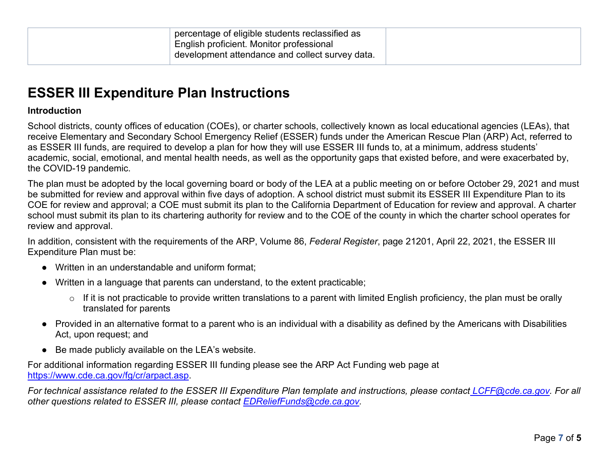## **ESSER III Expenditure Plan Instructions**

#### **Introduction**

School districts, county offices of education (COEs), or charter schools, collectively known as local educational agencies (LEAs), that receive Elementary and Secondary School Emergency Relief (ESSER) funds under the American Rescue Plan (ARP) Act, referred to as ESSER III funds, are required to develop a plan for how they will use ESSER III funds to, at a minimum, address students' academic, social, emotional, and mental health needs, as well as the opportunity gaps that existed before, and were exacerbated by, the COVID-19 pandemic.

The plan must be adopted by the local governing board or body of the LEA at a public meeting on or before October 29, 2021 and must be submitted for review and approval within five days of adoption. A school district must submit its ESSER III Expenditure Plan to its COE for review and approval; a COE must submit its plan to the California Department of Education for review and approval. A charter school must submit its plan to its chartering authority for review and to the COE of the county in which the charter school operates for review and approval.

In addition, consistent with the requirements of the ARP, Volume 86, *Federal Register*, page 21201, April 22, 2021, the ESSER III Expenditure Plan must be:

- Written in an understandable and uniform format;
- Written in a language that parents can understand, to the extent practicable;
	- $\circ$  If it is not practicable to provide written translations to a parent with limited English proficiency, the plan must be orally translated for parents
- Provided in an alternative format to a parent who is an individual with a disability as defined by the Americans with Disabilities Act, upon request; and
- Be made publicly available on the LEA's website.

For additional information regarding ESSER III funding please see the ARP Act Funding web page at [https://www.cde.ca.gov/fg/cr/arpact.asp.](https://www.cde.ca.gov/fg/cr/arpact.asp)

*For technical assistance related to the ESSER III Expenditure Plan template and instructions, please contact [LCFF@cde.ca.gov.](mailto:LCFF@cde.ca.gov)* For all *other questions related to ESSER III, please contact [EDReliefFunds@cde.ca.gov.](mailto:EDReliefFunds@cde.ca.gov)*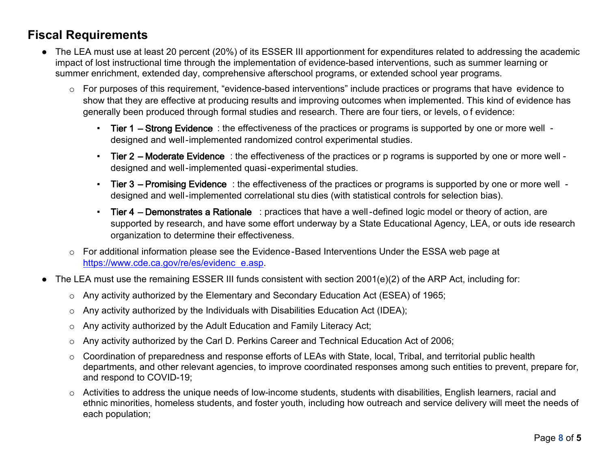### **Fiscal Requirements**

- The LEA must use at least 20 percent (20%) of its ESSER III apportionment for expenditures related to addressing the academic impact of lost instructional time through the implementation of evidence-based interventions, such as summer learning or summer enrichment, extended day, comprehensive afterschool programs, or extended school year programs.
	- o For purposes of this requirement, "evidence-based interventions" include practices or programs that have evidence to show that they are effective at producing results and improving outcomes when implemented. This kind of evidence has generally been produced through formal studies and research. There are four tiers, or levels, o f evidence:
		- Tier 1 Strong Evidence : the effectiveness of the practices or programs is supported by one or more well designed and well-implemented randomized control experimental studies.
		- Tier 2 Moderate Evidence : the effectiveness of the practices or p rograms is supported by one or more well designed and well-implemented quasi-experimental studies.
		- Tier 3 Promising Evidence : the effectiveness of the practices or programs is supported by one or more well designed and well-implemented correlational stu dies (with statistical controls for selection bias).
		- Tier 4 Demonstrates a Rationale : practices that have a well-defined logic model or theory of action, are supported by research, and have some effort underway by a State Educational Agency, LEA, or outs ide research organization to determine their effectiveness.
	- o For additional information please see the Evidence-Based Interventions Under the ESSA web page at [https://www.cde.ca.gov/re/es/evidenc](https://www.cde.ca.gov/re/es/evidence.asp) e.asp.
- The LEA must use the remaining ESSER III funds consistent with section 2001(e)(2) of the ARP Act, including for:
	- o Any activity authorized by the Elementary and Secondary Education Act (ESEA) of 1965;
	- o Any activity authorized by the Individuals with Disabilities Education Act (IDEA);
	- o Any activity authorized by the Adult Education and Family Literacy Act;
	- o Any activity authorized by the Carl D. Perkins Career and Technical Education Act of 2006;
	- o Coordination of preparedness and response efforts of LEAs with State, local, Tribal, and territorial public health departments, and other relevant agencies, to improve coordinated responses among such entities to prevent, prepare for, and respond to COVID-19;
	- o Activities to address the unique needs of low-income students, students with disabilities, English learners, racial and ethnic minorities, homeless students, and foster youth, including how outreach and service delivery will meet the needs of each population;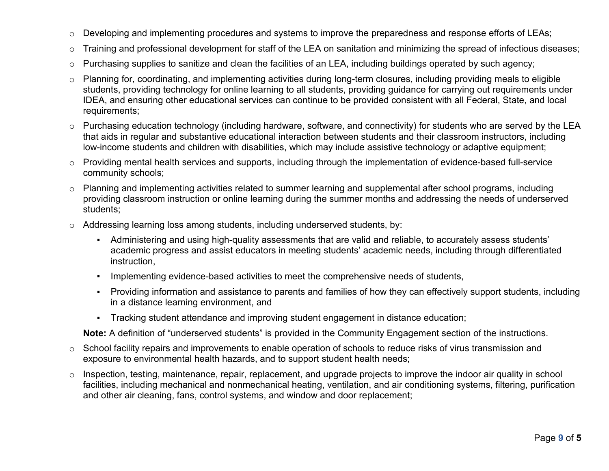- o Developing and implementing procedures and systems to improve the preparedness and response efforts of LEAs;
- o Training and professional development for staff of the LEA on sanitation and minimizing the spread of infectious diseases;
- $\circ$  Purchasing supplies to sanitize and clean the facilities of an LEA, including buildings operated by such agency;
- o Planning for, coordinating, and implementing activities during long-term closures, including providing meals to eligible students, providing technology for online learning to all students, providing guidance for carrying out requirements under IDEA, and ensuring other educational services can continue to be provided consistent with all Federal, State, and local requirements;
- o Purchasing education technology (including hardware, software, and connectivity) for students who are served by the LEA that aids in regular and substantive educational interaction between students and their classroom instructors, including low-income students and children with disabilities, which may include assistive technology or adaptive equipment;
- o Providing mental health services and supports, including through the implementation of evidence-based full-service community schools;
- o Planning and implementing activities related to summer learning and supplemental after school programs, including providing classroom instruction or online learning during the summer months and addressing the needs of underserved students;
- o Addressing learning loss among students, including underserved students, by:
	- Administering and using high-quality assessments that are valid and reliable, to accurately assess students' academic progress and assist educators in meeting students' academic needs, including through differentiated instruction,
	- Implementing evidence-based activities to meet the comprehensive needs of students,
	- Providing information and assistance to parents and families of how they can effectively support students, including in a distance learning environment, and
	- Tracking student attendance and improving student engagement in distance education;

**Note:** A definition of "underserved students" is provided in the Community Engagement section of the instructions.

- o School facility repairs and improvements to enable operation of schools to reduce risks of virus transmission and exposure to environmental health hazards, and to support student health needs;
- o Inspection, testing, maintenance, repair, replacement, and upgrade projects to improve the indoor air quality in school facilities, including mechanical and nonmechanical heating, ventilation, and air conditioning systems, filtering, purification and other air cleaning, fans, control systems, and window and door replacement;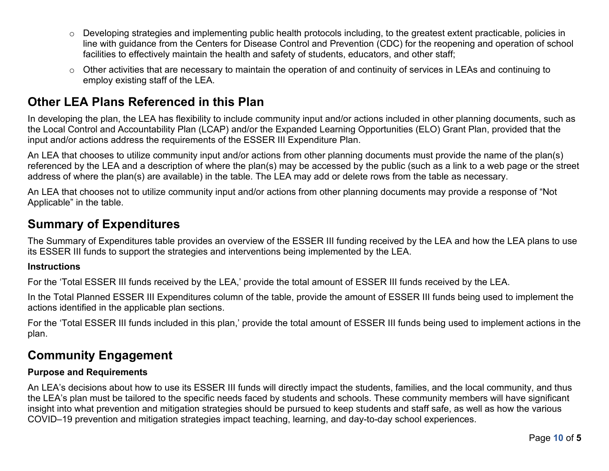- $\circ$  Developing strategies and implementing public health protocols including, to the greatest extent practicable, policies in line with guidance from the Centers for Disease Control and Prevention (CDC) for the reopening and operation of school facilities to effectively maintain the health and safety of students, educators, and other staff;
- o Other activities that are necessary to maintain the operation of and continuity of services in LEAs and continuing to employ existing staff of the LEA.

### **Other LEA Plans Referenced in this Plan**

In developing the plan, the LEA has flexibility to include community input and/or actions included in other planning documents, such as the Local Control and Accountability Plan (LCAP) and/or the Expanded Learning Opportunities (ELO) Grant Plan, provided that the input and/or actions address the requirements of the ESSER III Expenditure Plan.

An LEA that chooses to utilize community input and/or actions from other planning documents must provide the name of the plan(s) referenced by the LEA and a description of where the plan(s) may be accessed by the public (such as a link to a web page or the street address of where the plan(s) are available) in the table. The LEA may add or delete rows from the table as necessary.

An LEA that chooses not to utilize community input and/or actions from other planning documents may provide a response of "Not Applicable" in the table.

### **Summary of Expenditures**

The Summary of Expenditures table provides an overview of the ESSER III funding received by the LEA and how the LEA plans to use its ESSER III funds to support the strategies and interventions being implemented by the LEA.

#### **Instructions**

For the 'Total ESSER III funds received by the LEA,' provide the total amount of ESSER III funds received by the LEA.

In the Total Planned ESSER III Expenditures column of the table, provide the amount of ESSER III funds being used to implement the actions identified in the applicable plan sections.

For the 'Total ESSER III funds included in this plan,' provide the total amount of ESSER III funds being used to implement actions in the plan.

## **Community Engagement**

### **Purpose and Requirements**

An LEA's decisions about how to use its ESSER III funds will directly impact the students, families, and the local community, and thus the LEA's plan must be tailored to the specific needs faced by students and schools. These community members will have significant insight into what prevention and mitigation strategies should be pursued to keep students and staff safe, as well as how the various COVID–19 prevention and mitigation strategies impact teaching, learning, and day-to-day school experiences.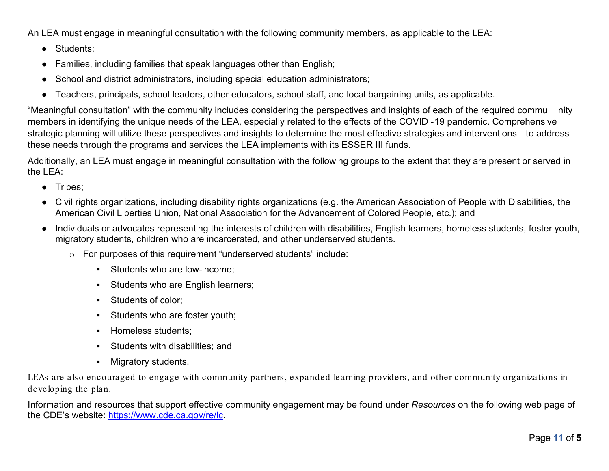An LEA must engage in meaningful consultation with the following community members, as applicable to the LEA:

- Students;
- Families, including families that speak languages other than English;
- School and district administrators, including special education administrators;
- Teachers, principals, school leaders, other educators, school staff, and local bargaining units, as applicable.

"Meaningful consultation" with the community includes considering the perspectives and insights of each of the required commu nity members in identifying the unique needs of the LEA, especially related to the effects of the COVID -19 pandemic. Comprehensive strategic planning will utilize these perspectives and insights to determine the most effective strategies and interventions to address these needs through the programs and services the LEA implements with its ESSER III funds.

Additionally, an LEA must engage in meaningful consultation with the following groups to the extent that they are present or served in the LEA:

- Tribes;
- Civil rights organizations, including disability rights organizations (e.g. the American Association of People with Disabilities, the American Civil Liberties Union, National Association for the Advancement of Colored People, etc.); and
- Individuals or advocates representing the interests of children with disabilities, English learners, homeless students, foster youth, migratory students, children who are incarcerated, and other underserved students.
	- o For purposes of this requirement "underserved students" include:
		- Students who are low-income;
		- Students who are English learners;
		- Students of color;
		- Students who are foster youth;
		- Homeless students;
		- Students with disabilities; and
		- Migratory students.

LEAs are also encouraged to engage with community partners, expanded learning providers, and other community organizations in developing the plan.

Information and resources that support effective community engagement may be found under *Resources* on the following web page of the CDE's website: [https://www.cde.ca.gov/re/lc.](https://www.cde.ca.gov/re/lc)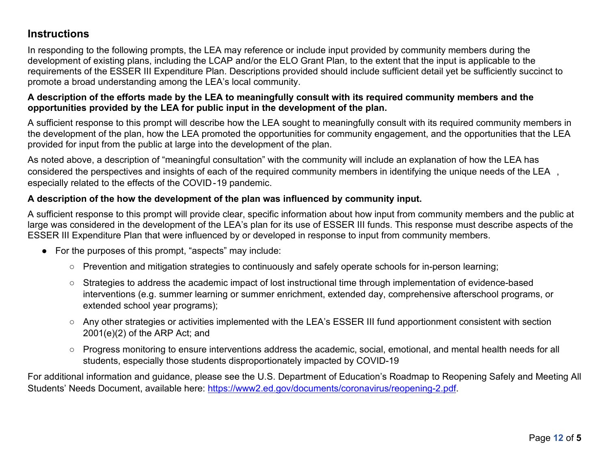### **Instructions**

In responding to the following prompts, the LEA may reference or include input provided by community members during the development of existing plans, including the LCAP and/or the ELO Grant Plan, to the extent that the input is applicable to the requirements of the ESSER III Expenditure Plan. Descriptions provided should include sufficient detail yet be sufficiently succinct to promote a broad understanding among the LEA's local community.

#### **A description of the efforts made by the LEA to meaningfully consult with its required community members and the opportunities provided by the LEA for public input in the development of the plan.**

A sufficient response to this prompt will describe how the LEA sought to meaningfully consult with its required community members in the development of the plan, how the LEA promoted the opportunities for community engagement, and the opportunities that the LEA provided for input from the public at large into the development of the plan.

As noted above, a description of "meaningful consultation" with the community will include an explanation of how the LEA has considered the perspectives and insights of each of the required community members in identifying the unique needs of the LEA , especially related to the effects of the COVID-19 pandemic.

### **A description of the how the development of the plan was influenced by community input.**

A sufficient response to this prompt will provide clear, specific information about how input from community members and the public at large was considered in the development of the LEA's plan for its use of ESSER III funds. This response must describe aspects of the ESSER III Expenditure Plan that were influenced by or developed in response to input from community members.

- For the purposes of this prompt, "aspects" may include:
	- Prevention and mitigation strategies to continuously and safely operate schools for in-person learning;
	- Strategies to address the academic impact of lost instructional time through implementation of evidence-based interventions (e.g. summer learning or summer enrichment, extended day, comprehensive afterschool programs, or extended school year programs);
	- Any other strategies or activities implemented with the LEA's ESSER III fund apportionment consistent with section 2001(e)(2) of the ARP Act; and
	- Progress monitoring to ensure interventions address the academic, social, emotional, and mental health needs for all students, especially those students disproportionately impacted by COVID-19

For additional information and guidance, please see the U.S. Department of Education's Roadmap to Reopening Safely and Meeting All Students' Needs Document, available here: [https://www2.ed.gov/documents/coronavirus/reopening-2.pdf.](https://www2.ed.gov/documents/coronavirus/reopening-2.pdf)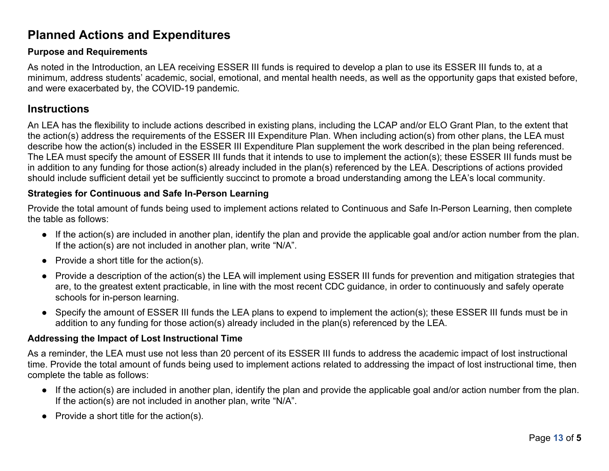## **Planned Actions and Expenditures**

#### **Purpose and Requirements**

As noted in the Introduction, an LEA receiving ESSER III funds is required to develop a plan to use its ESSER III funds to, at a minimum, address students' academic, social, emotional, and mental health needs, as well as the opportunity gaps that existed before, and were exacerbated by, the COVID-19 pandemic.

### **Instructions**

An LEA has the flexibility to include actions described in existing plans, including the LCAP and/or ELO Grant Plan, to the extent that the action(s) address the requirements of the ESSER III Expenditure Plan. When including action(s) from other plans, the LEA must describe how the action(s) included in the ESSER III Expenditure Plan supplement the work described in the plan being referenced. The LEA must specify the amount of ESSER III funds that it intends to use to implement the action(s); these ESSER III funds must be in addition to any funding for those action(s) already included in the plan(s) referenced by the LEA. Descriptions of actions provided should include sufficient detail yet be sufficiently succinct to promote a broad understanding among the LEA's local community.

#### **Strategies for Continuous and Safe In-Person Learning**

Provide the total amount of funds being used to implement actions related to Continuous and Safe In-Person Learning, then complete the table as follows:

- If the action(s) are included in another plan, identify the plan and provide the applicable goal and/or action number from the plan. If the action(s) are not included in another plan, write "N/A".
- $\bullet$  Provide a short title for the action(s).
- Provide a description of the action(s) the LEA will implement using ESSER III funds for prevention and mitigation strategies that are, to the greatest extent practicable, in line with the most recent CDC guidance, in order to continuously and safely operate schools for in-person learning.
- Specify the amount of ESSER III funds the LEA plans to expend to implement the action(s); these ESSER III funds must be in addition to any funding for those action(s) already included in the plan(s) referenced by the LEA.

#### **Addressing the Impact of Lost Instructional Time**

As a reminder, the LEA must use not less than 20 percent of its ESSER III funds to address the academic impact of lost instructional time. Provide the total amount of funds being used to implement actions related to addressing the impact of lost instructional time, then complete the table as follows:

- If the action(s) are included in another plan, identify the plan and provide the applicable goal and/or action number from the plan. If the action(s) are not included in another plan, write "N/A".
- $\bullet$  Provide a short title for the action(s).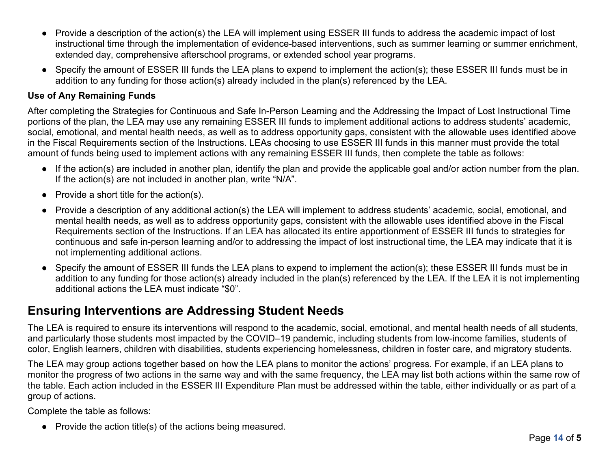- Provide a description of the action(s) the LEA will implement using ESSER III funds to address the academic impact of lost instructional time through the implementation of evidence-based interventions, such as summer learning or summer enrichment, extended day, comprehensive afterschool programs, or extended school year programs.
- Specify the amount of ESSER III funds the LEA plans to expend to implement the action(s); these ESSER III funds must be in addition to any funding for those action(s) already included in the plan(s) referenced by the LEA.

#### **Use of Any Remaining Funds**

After completing the Strategies for Continuous and Safe In-Person Learning and the Addressing the Impact of Lost Instructional Time portions of the plan, the LEA may use any remaining ESSER III funds to implement additional actions to address students' academic, social, emotional, and mental health needs, as well as to address opportunity gaps, consistent with the allowable uses identified above in the Fiscal Requirements section of the Instructions. LEAs choosing to use ESSER III funds in this manner must provide the total amount of funds being used to implement actions with any remaining ESSER III funds, then complete the table as follows:

- If the action(s) are included in another plan, identify the plan and provide the applicable goal and/or action number from the plan. If the action(s) are not included in another plan, write "N/A".
- $\bullet$  Provide a short title for the action(s).
- Provide a description of any additional action(s) the LEA will implement to address students' academic, social, emotional, and mental health needs, as well as to address opportunity gaps, consistent with the allowable uses identified above in the Fiscal Requirements section of the Instructions. If an LEA has allocated its entire apportionment of ESSER III funds to strategies for continuous and safe in-person learning and/or to addressing the impact of lost instructional time, the LEA may indicate that it is not implementing additional actions.
- Specify the amount of ESSER III funds the LEA plans to expend to implement the action(s); these ESSER III funds must be in addition to any funding for those action(s) already included in the plan(s) referenced by the LEA. If the LEA it is not implementing additional actions the LEA must indicate "\$0".

### **Ensuring Interventions are Addressing Student Needs**

The LEA is required to ensure its interventions will respond to the academic, social, emotional, and mental health needs of all students, and particularly those students most impacted by the COVID–19 pandemic, including students from low-income families, students of color, English learners, children with disabilities, students experiencing homelessness, children in foster care, and migratory students.

The LEA may group actions together based on how the LEA plans to monitor the actions' progress. For example, if an LEA plans to monitor the progress of two actions in the same way and with the same frequency, the LEA may list both actions within the same row of the table. Each action included in the ESSER III Expenditure Plan must be addressed within the table, either individually or as part of a group of actions.

Complete the table as follows:

● Provide the action title(s) of the actions being measured.